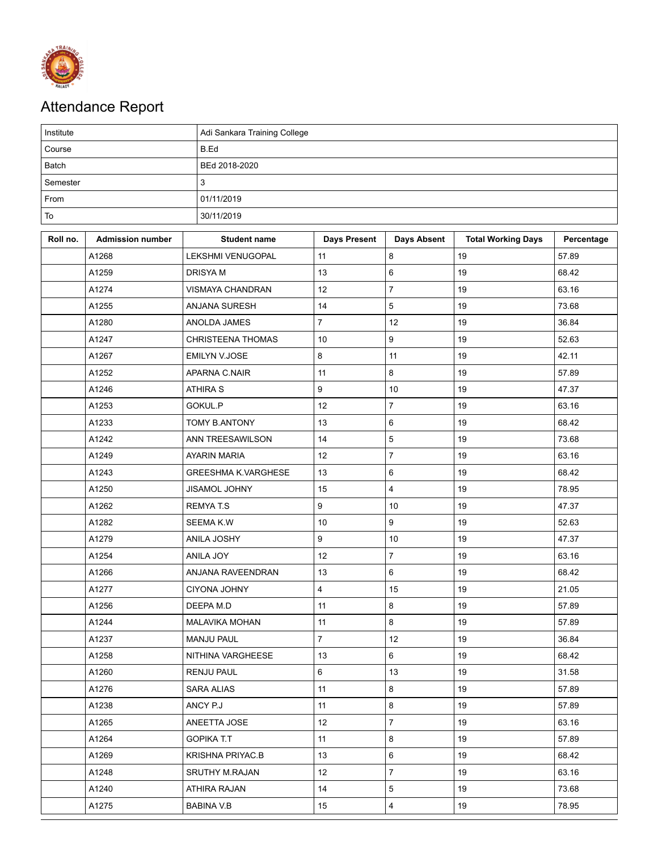

## Attendance Report

| Institute    |                         |                            | Adi Sankara Training College |                    |                           |            |  |  |  |
|--------------|-------------------------|----------------------------|------------------------------|--------------------|---------------------------|------------|--|--|--|
| Course       |                         | B.Ed                       |                              |                    |                           |            |  |  |  |
| <b>Batch</b> |                         | BEd 2018-2020              |                              |                    |                           |            |  |  |  |
| Semester     |                         | $\mathbf{3}$               |                              |                    |                           |            |  |  |  |
| From         |                         | 01/11/2019                 |                              |                    |                           |            |  |  |  |
| To           |                         | 30/11/2019                 |                              |                    |                           |            |  |  |  |
| Roll no.     | <b>Admission number</b> | <b>Student name</b>        | <b>Days Present</b>          | <b>Days Absent</b> | <b>Total Working Days</b> | Percentage |  |  |  |
|              | A1268                   | LEKSHMI VENUGOPAL          | 11                           | 8                  | 19                        | 57.89      |  |  |  |
|              | A1259                   | <b>DRISYA M</b>            | 13                           | 6                  | 19                        | 68.42      |  |  |  |
|              | A1274                   | VISMAYA CHANDRAN           | 12                           | $\overline{7}$     | 19                        | 63.16      |  |  |  |
|              | A1255                   | ANJANA SURESH              | 14                           | 5                  | 19                        | 73.68      |  |  |  |
|              | A1280                   | ANOLDA JAMES               | $\overline{7}$               | 12                 | 19                        | 36.84      |  |  |  |
|              | A1247                   | <b>CHRISTEENA THOMAS</b>   | 10                           | 9                  | 19                        | 52.63      |  |  |  |
|              | A1267                   | EMILYN V.JOSE              | 8                            | 11                 | 19                        | 42.11      |  |  |  |
|              | A1252                   | APARNA C.NAIR              | 11                           | 8                  | 19                        | 57.89      |  |  |  |
|              | A1246                   | <b>ATHIRA S</b>            | 9                            | 10                 | 19                        | 47.37      |  |  |  |
|              | A1253                   | GOKUL.P                    | 12                           | $\overline{7}$     | 19                        | 63.16      |  |  |  |
|              | A1233                   | TOMY B.ANTONY              | 13                           | 6                  | 19                        | 68.42      |  |  |  |
|              | A1242                   | ANN TREESAWILSON           | 14                           | 5                  | 19                        | 73.68      |  |  |  |
|              | A1249                   | <b>AYARIN MARIA</b>        | 12                           | $\overline{7}$     | 19                        | 63.16      |  |  |  |
|              | A1243                   | <b>GREESHMA K.VARGHESE</b> | 13                           | 6                  | 19                        | 68.42      |  |  |  |
|              | A1250                   | <b>JISAMOL JOHNY</b>       | 15                           | 4                  | 19                        | 78.95      |  |  |  |
|              | A1262                   | <b>REMYAT.S</b>            | 9                            | 10                 | 19                        | 47.37      |  |  |  |
|              | A1282                   | <b>SEEMA K.W</b>           | 10                           | 9                  | 19                        | 52.63      |  |  |  |
|              | A1279                   | ANILA JOSHY                | 9                            | 10                 | 19                        | 47.37      |  |  |  |
|              | A1254                   | <b>ANILA JOY</b>           | 12                           | $\overline{7}$     | 19                        | 63.16      |  |  |  |
|              | A1266                   | ANJANA RAVEENDRAN          | 13                           | 6                  | 19                        | 68.42      |  |  |  |
|              | A1277                   | <b>CIYONA JOHNY</b>        | $\overline{\mathbf{4}}$      | 15                 | 19                        | 21.05      |  |  |  |
|              | A1256                   | DEEPA M.D                  | 11                           | 8                  | 19                        | 57.89      |  |  |  |
|              | A1244                   | MALAVIKA MOHAN             | 11                           | 8                  | 19                        | 57.89      |  |  |  |
|              | A1237                   | <b>MANJU PAUL</b>          | $\overline{7}$               | 12                 | 19                        | 36.84      |  |  |  |
|              | A1258                   | NITHINA VARGHEESE          | 13                           | 6                  | 19                        | 68.42      |  |  |  |
|              | A1260                   | RENJU PAUL                 | 6                            | 13                 | 19                        | 31.58      |  |  |  |
|              | A1276                   | <b>SARA ALIAS</b>          | 11                           | 8                  | 19                        | 57.89      |  |  |  |
|              | A1238                   | ANCY P.J                   | 11                           | 8                  | 19                        | 57.89      |  |  |  |
|              | A1265                   | ANEETTA JOSE               | 12                           | $\boldsymbol{7}$   | 19                        | 63.16      |  |  |  |
|              | A1264                   | <b>GOPIKA T.T</b>          | 11                           | 8                  | 19                        | 57.89      |  |  |  |
|              | A1269                   | <b>KRISHNA PRIYAC.B</b>    | 13                           | 6                  | 19                        | 68.42      |  |  |  |
|              | A1248                   | SRUTHY M.RAJAN             | 12                           | $\overline{7}$     | 19                        | 63.16      |  |  |  |
|              | A1240                   | ATHIRA RAJAN               | 14                           | 5                  | 19                        | 73.68      |  |  |  |
|              | A1275                   | <b>BABINA V.B</b>          | 15                           | $\overline{4}$     | 19                        | 78.95      |  |  |  |